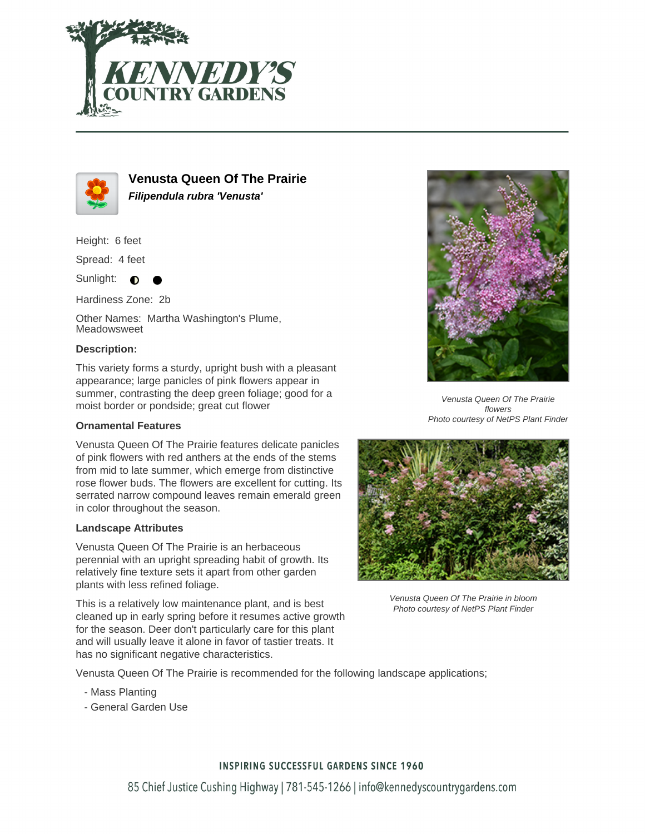



**Venusta Queen Of The Prairie Filipendula rubra 'Venusta'**

Height: 6 feet

Spread: 4 feet

Sunlight:  $\bigcirc$ 

Hardiness Zone: 2b

Other Names: Martha Washington's Plume, Meadowsweet

### **Description:**

This variety forms a sturdy, upright bush with a pleasant appearance; large panicles of pink flowers appear in summer, contrasting the deep green foliage; good for a moist border or pondside; great cut flower

### **Ornamental Features**

Venusta Queen Of The Prairie features delicate panicles of pink flowers with red anthers at the ends of the stems from mid to late summer, which emerge from distinctive rose flower buds. The flowers are excellent for cutting. Its serrated narrow compound leaves remain emerald green in color throughout the season.

### **Landscape Attributes**

Venusta Queen Of The Prairie is an herbaceous perennial with an upright spreading habit of growth. Its relatively fine texture sets it apart from other garden plants with less refined foliage.

This is a relatively low maintenance plant, and is best cleaned up in early spring before it resumes active growth for the season. Deer don't particularly care for this plant and will usually leave it alone in favor of tastier treats. It has no significant negative characteristics.



Venusta Queen Of The Prairie flowers Photo courtesy of NetPS Plant Finder



Venusta Queen Of The Prairie in bloom Photo courtesy of NetPS Plant Finder

Venusta Queen Of The Prairie is recommended for the following landscape applications;

- Mass Planting
- General Garden Use

## **INSPIRING SUCCESSFUL GARDENS SINCE 1960**

85 Chief Justice Cushing Highway | 781-545-1266 | info@kennedyscountrygardens.com